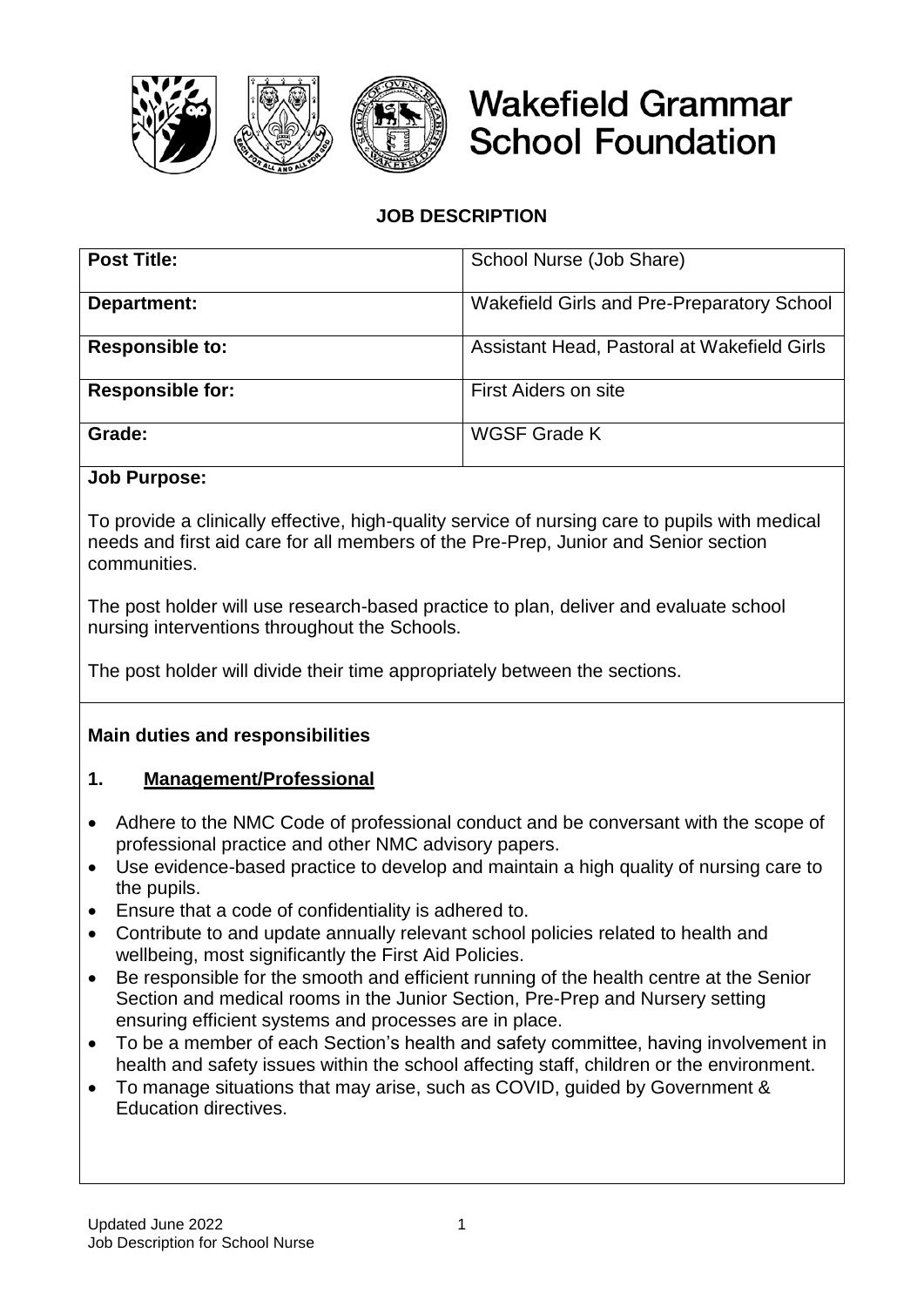

# **Wakefield Grammar School Foundation**

# **JOB DESCRIPTION**

| <b>Post Title:</b>      | School Nurse (Job Share)                    |
|-------------------------|---------------------------------------------|
| Department:             | Wakefield Girls and Pre-Preparatory School  |
| <b>Responsible to:</b>  | Assistant Head, Pastoral at Wakefield Girls |
| <b>Responsible for:</b> | First Aiders on site                        |
| Grade:                  | WGSF Grade K                                |

#### **Job Purpose:**

To provide a clinically effective, high-quality service of nursing care to pupils with medical needs and first aid care for all members of the Pre-Prep, Junior and Senior section communities.

The post holder will use research-based practice to plan, deliver and evaluate school nursing interventions throughout the Schools.

The post holder will divide their time appropriately between the sections.

#### **Main duties and responsibilities**

#### **1. Management/Professional**

- Adhere to the NMC Code of professional conduct and be conversant with the scope of professional practice and other NMC advisory papers.
- Use evidence-based practice to develop and maintain a high quality of nursing care to the pupils.
- Ensure that a code of confidentiality is adhered to.
- Contribute to and update annually relevant school policies related to health and wellbeing, most significantly the First Aid Policies.
- Be responsible for the smooth and efficient running of the health centre at the Senior Section and medical rooms in the Junior Section, Pre-Prep and Nursery setting ensuring efficient systems and processes are in place.
- To be a member of each Section's health and safety committee, having involvement in health and safety issues within the school affecting staff, children or the environment.
- To manage situations that may arise, such as COVID, guided by Government & Education directives.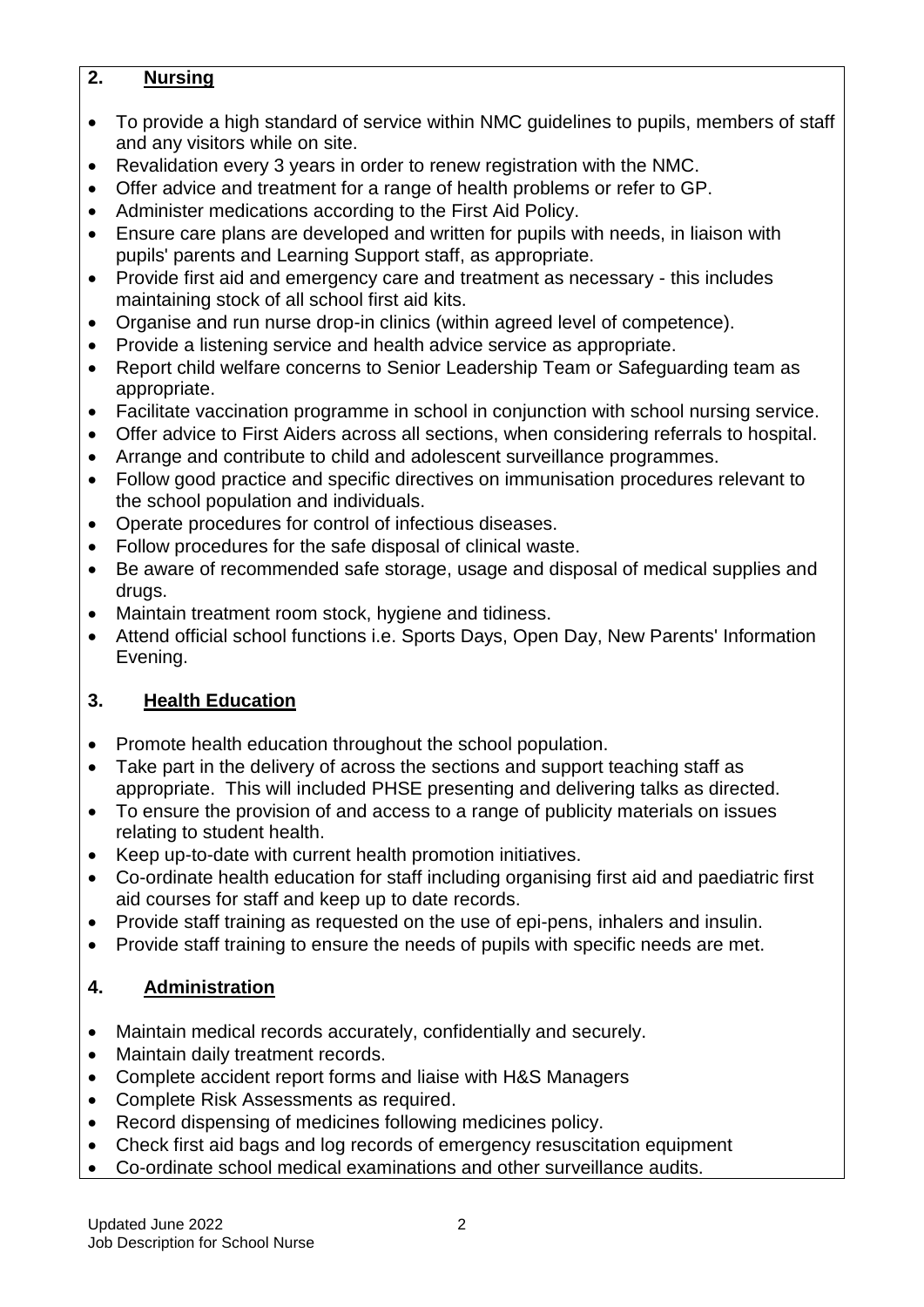## **2. Nursing**

- To provide a high standard of service within NMC guidelines to pupils, members of staff and any visitors while on site.
- Revalidation every 3 years in order to renew registration with the NMC.
- Offer advice and treatment for a range of health problems or refer to GP.
- Administer medications according to the First Aid Policy.
- Ensure care plans are developed and written for pupils with needs, in liaison with pupils' parents and Learning Support staff, as appropriate.
- Provide first aid and emergency care and treatment as necessary this includes maintaining stock of all school first aid kits.
- Organise and run nurse drop-in clinics (within agreed level of competence).
- Provide a listening service and health advice service as appropriate.
- Report child welfare concerns to Senior Leadership Team or Safeguarding team as appropriate.
- Facilitate vaccination programme in school in conjunction with school nursing service.
- Offer advice to First Aiders across all sections, when considering referrals to hospital.
- Arrange and contribute to child and adolescent surveillance programmes.
- Follow good practice and specific directives on immunisation procedures relevant to the school population and individuals.
- Operate procedures for control of infectious diseases.
- Follow procedures for the safe disposal of clinical waste.
- Be aware of recommended safe storage, usage and disposal of medical supplies and drugs.
- Maintain treatment room stock, hygiene and tidiness.
- Attend official school functions i.e. Sports Days, Open Day, New Parents' Information Evening.

# **3. Health Education**

- Promote health education throughout the school population.
- Take part in the delivery of across the sections and support teaching staff as appropriate. This will included PHSE presenting and delivering talks as directed.
- To ensure the provision of and access to a range of publicity materials on issues relating to student health.
- Keep up-to-date with current health promotion initiatives.
- Co-ordinate health education for staff including organising first aid and paediatric first aid courses for staff and keep up to date records.
- Provide staff training as requested on the use of epi-pens, inhalers and insulin.
- Provide staff training to ensure the needs of pupils with specific needs are met.

# **4. Administration**

- Maintain medical records accurately, confidentially and securely.
- Maintain daily treatment records.
- Complete accident report forms and liaise with H&S Managers
- Complete Risk Assessments as required.
- Record dispensing of medicines following medicines policy.
- Check first aid bags and log records of emergency resuscitation equipment
- Co-ordinate school medical examinations and other surveillance audits.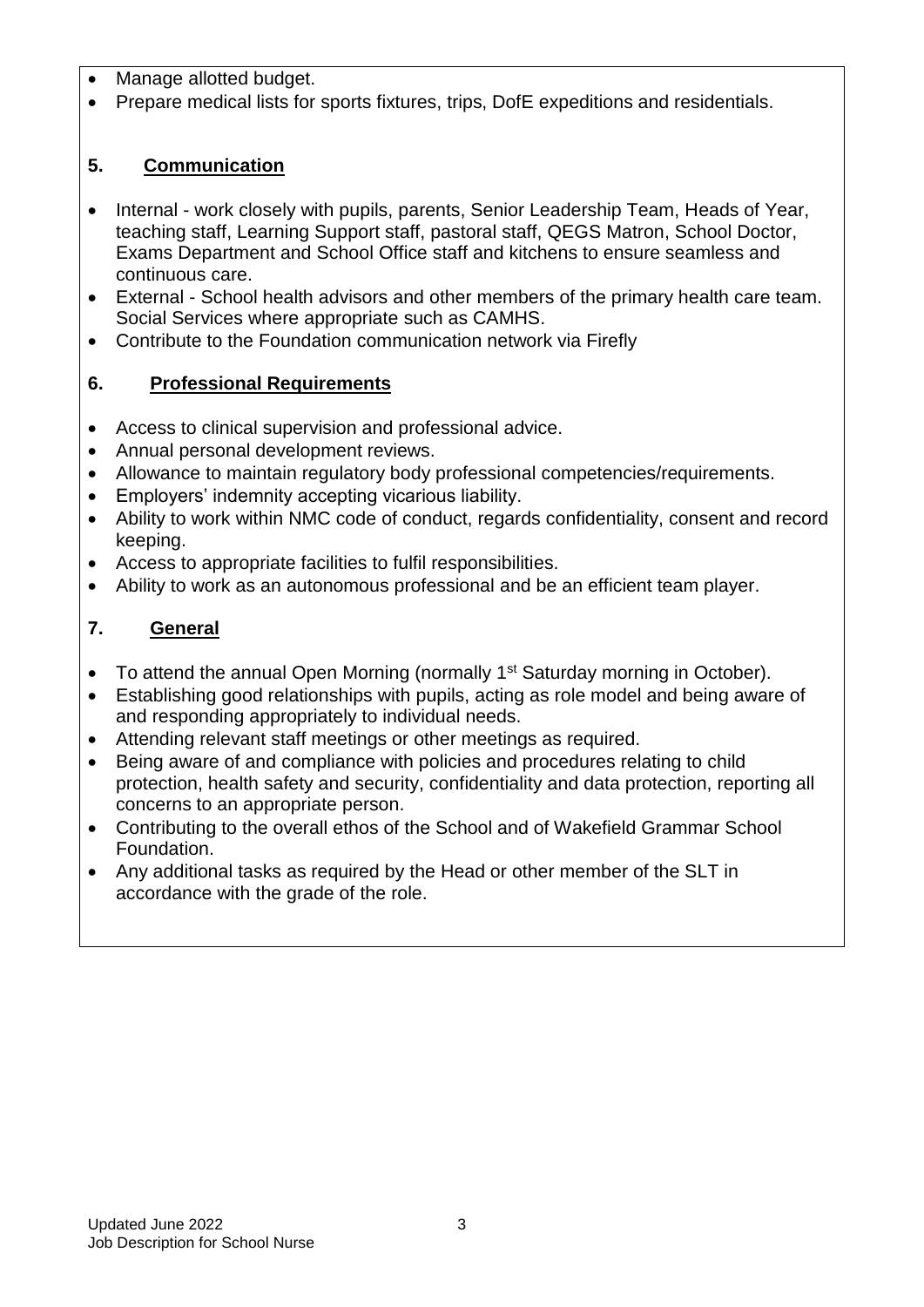- Manage allotted budget.
- Prepare medical lists for sports fixtures, trips, DofE expeditions and residentials.

## **5. Communication**

- Internal work closely with pupils, parents, Senior Leadership Team, Heads of Year, teaching staff, Learning Support staff, pastoral staff, QEGS Matron, School Doctor, Exams Department and School Office staff and kitchens to ensure seamless and continuous care.
- External School health advisors and other members of the primary health care team. Social Services where appropriate such as CAMHS.
- Contribute to the Foundation communication network via Firefly

## **6. Professional Requirements**

- Access to clinical supervision and professional advice.
- Annual personal development reviews.
- Allowance to maintain regulatory body professional competencies/requirements.
- Employers' indemnity accepting vicarious liability.
- Ability to work within NMC code of conduct, regards confidentiality, consent and record keeping.
- Access to appropriate facilities to fulfil responsibilities.
- Ability to work as an autonomous professional and be an efficient team player.

## **7. General**

- To attend the annual Open Morning (normally 1<sup>st</sup> Saturday morning in October).
- Establishing good relationships with pupils, acting as role model and being aware of and responding appropriately to individual needs.
- Attending relevant staff meetings or other meetings as required.
- Being aware of and compliance with policies and procedures relating to child protection, health safety and security, confidentiality and data protection, reporting all concerns to an appropriate person.
- Contributing to the overall ethos of the School and of Wakefield Grammar School Foundation.
- Any additional tasks as required by the Head or other member of the SLT in accordance with the grade of the role.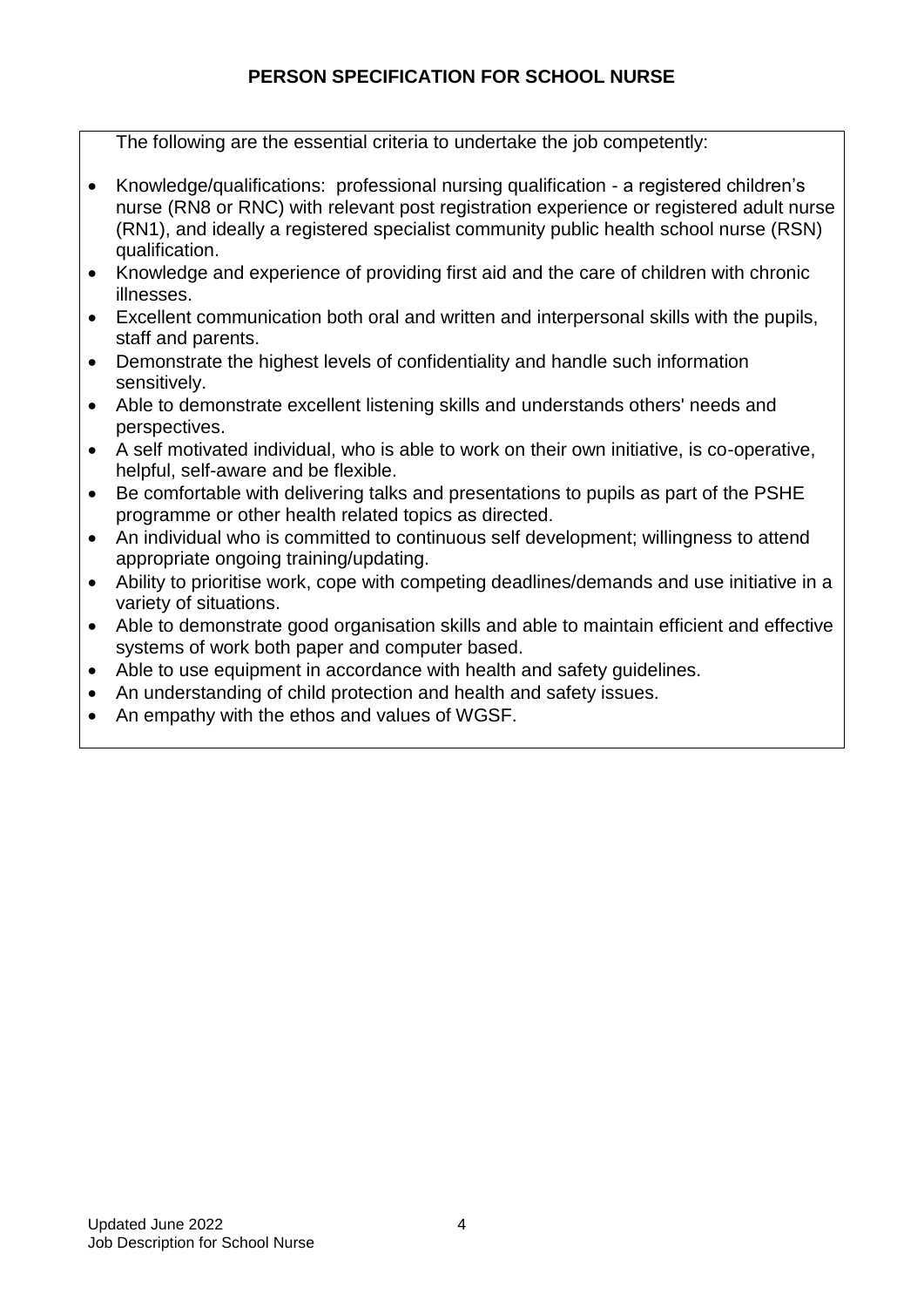## **PERSON SPECIFICATION FOR SCHOOL NURSE**

The following are the essential criteria to undertake the job competently:

- Knowledge/qualifications: professional nursing qualification a registered children's nurse (RN8 or RNC) with relevant post registration experience or registered adult nurse (RN1), and ideally a registered specialist community public health school nurse (RSN) qualification.
- Knowledge and experience of providing first aid and the care of children with chronic illnesses.
- Excellent communication both oral and written and interpersonal skills with the pupils, staff and parents.
- Demonstrate the highest levels of confidentiality and handle such information sensitively.
- Able to demonstrate excellent listening skills and understands others' needs and perspectives.
- A self motivated individual, who is able to work on their own initiative, is co-operative, helpful, self-aware and be flexible.
- Be comfortable with delivering talks and presentations to pupils as part of the PSHE programme or other health related topics as directed.
- An individual who is committed to continuous self development; willingness to attend appropriate ongoing training/updating.
- Ability to prioritise work, cope with competing deadlines/demands and use initiative in a variety of situations.
- Able to demonstrate good organisation skills and able to maintain efficient and effective systems of work both paper and computer based.
- Able to use equipment in accordance with health and safety guidelines.
- An understanding of child protection and health and safety issues.
- An empathy with the ethos and values of WGSF.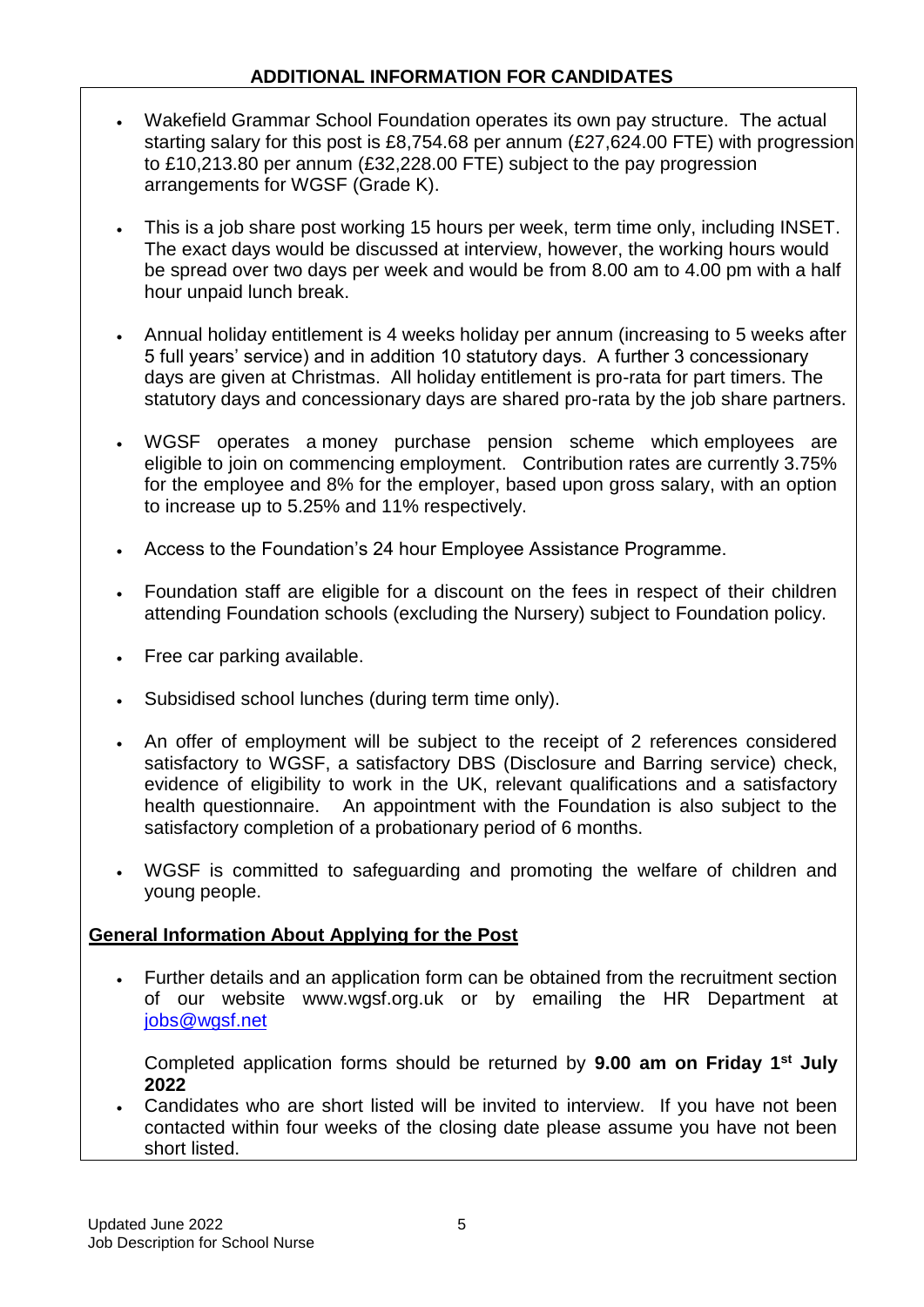#### **ADDITIONAL INFORMATION FOR CANDIDATES**

- Wakefield Grammar School Foundation operates its own pay structure. The actual starting salary for this post is £8,754.68 per annum (£27,624.00 FTE) with progression to £10,213.80 per annum (£32,228.00 FTE) subject to the pay progression arrangements for WGSF (Grade K).
- This is a job share post working 15 hours per week, term time only, including INSET. The exact days would be discussed at interview, however, the working hours would be spread over two days per week and would be from 8.00 am to 4.00 pm with a half hour unpaid lunch break.
- Annual holiday entitlement is 4 weeks holiday per annum (increasing to 5 weeks after 5 full years' service) and in addition 10 statutory days. A further 3 concessionary days are given at Christmas. All holiday entitlement is pro-rata for part timers. The statutory days and concessionary days are shared pro-rata by the job share partners.
- WGSF operates a money purchase pension scheme which employees are eligible to join on commencing employment. Contribution rates are currently 3.75% for the employee and 8% for the employer, based upon gross salary, with an option to increase up to 5.25% and 11% respectively.
- Access to the Foundation's 24 hour Employee Assistance Programme.
- Foundation staff are eligible for a discount on the fees in respect of their children attending Foundation schools (excluding the Nursery) subject to Foundation policy.
- Free car parking available.
- Subsidised school lunches (during term time only).
- An offer of employment will be subject to the receipt of 2 references considered satisfactory to WGSF, a satisfactory DBS (Disclosure and Barring service) check, evidence of eligibility to work in the UK, relevant qualifications and a satisfactory health questionnaire. An appointment with the Foundation is also subject to the satisfactory completion of a probationary period of 6 months.
- WGSF is committed to safeguarding and promoting the welfare of children and young people.

## **General Information About Applying for the Post**

 Further details and an application form can be obtained from the recruitment section of our website www.wgsf.org.uk or by emailing the HR Department at [jobs@wgsf.net](mailto:jobs@wgsf.net)

Completed application forms should be returned by **9.00 am on Friday 1st July 2022**

 Candidates who are short listed will be invited to interview. If you have not been contacted within four weeks of the closing date please assume you have not been short listed.